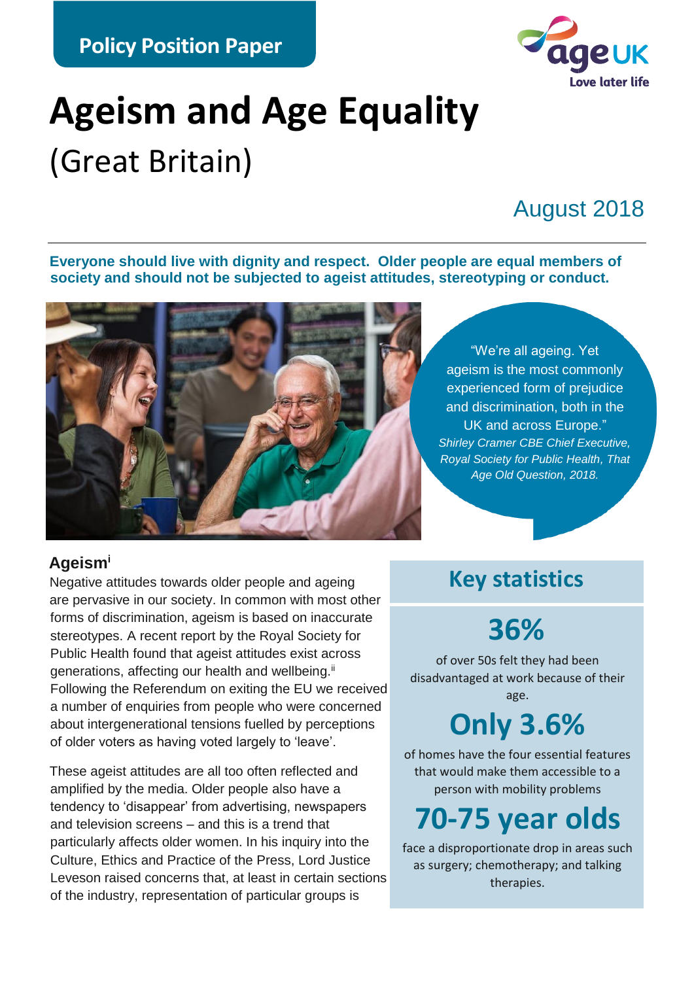**Policy Position Paper**



# **Ageism and Age Equality** (Great Britain)

### August 2018

**Everyone should live with dignity and respect. Older people are equal members of society and should not be subjected to ageist attitudes, stereotyping or conduct.**



#### **Ageism<sup>i</sup>**

Negative attitudes towards older people and ageing are pervasive in our society. In common with most other forms of discrimination, ageism is based on inaccurate stereotypes. A recent report by the Royal Society for Public Health found that ageist attitudes exist across generations, affecting our health and wellbeing.<sup>ii</sup> Following the Referendum on exiting the EU we received a number of enquiries from people who were concerned about intergenerational tensions fuelled by perceptions of older voters as having voted largely to 'leave'.

These ageist attitudes are all too often reflected and amplified by the media. Older people also have a tendency to 'disappear' from advertising, newspapers and television screens – and this is a trend that particularly affects older women. In his inquiry into the Culture, Ethics and Practice of the Press, Lord Justice Leveson raised concerns that, at least in certain sections of the industry, representation of particular groups is

**Key statistics**

"We're all ageing. Yet

UK and across Europe."

*Age Old Question, 2018.*

### **36%**

of over 50s felt they had been disadvantaged at work because of their

age.

## **Only 3.6%**

of homes have the four essential features that would make them accessible to a person with mobility problems

### **70-75 year olds**

face a disproportionate drop in areas such as surgery; chemotherapy; and talking therapies.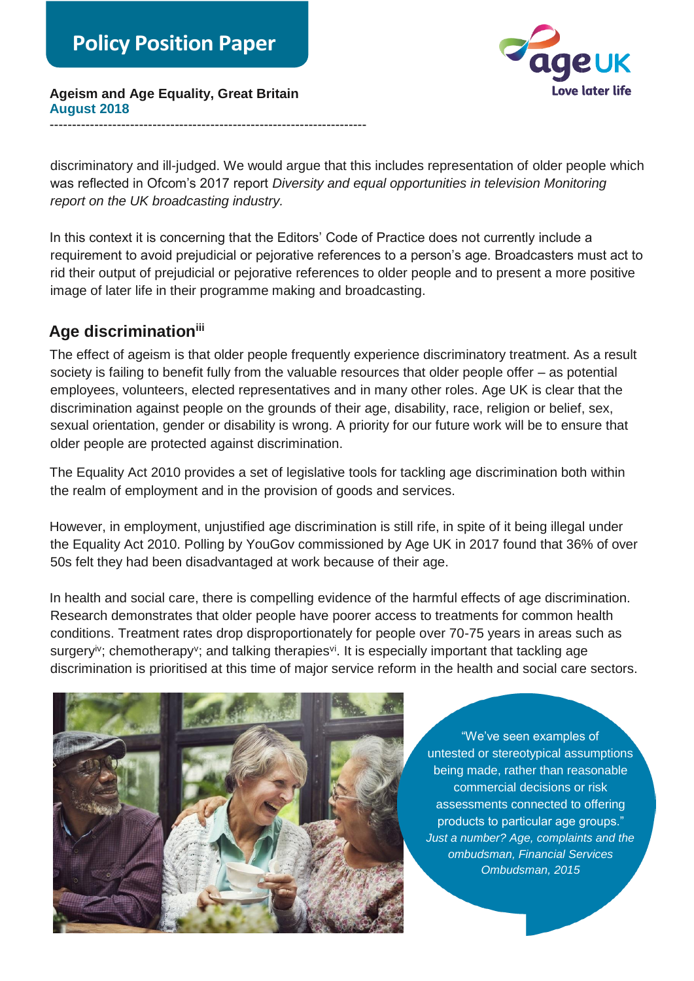

**Ageism and Age Equality, Great Britain August 2018** -----------------------------------------------------------------------

discriminatory and ill-judged. We would argue that this includes representation of older people which was reflected in Ofcom's 2017 report *Diversity and equal opportunities in television Monitoring report on the UK broadcasting industry.*

In this context it is concerning that the Editors' Code of Practice does not currently include a requirement to avoid prejudicial or pejorative references to a person's age. Broadcasters must act to rid their output of prejudicial or pejorative references to older people and to present a more positive image of later life in their programme making and broadcasting.

#### **Age discriminationiii**

The effect of ageism is that older people frequently experience discriminatory treatment. As a result society is failing to benefit fully from the valuable resources that older people offer – as potential employees, volunteers, elected representatives and in many other roles. Age UK is clear that the discrimination against people on the grounds of their age, disability, race, religion or belief, sex, sexual orientation, gender or disability is wrong. A priority for our future work will be to ensure that older people are protected against discrimination.

The Equality Act 2010 provides a set of legislative tools for tackling age discrimination both within the realm of employment and in the provision of goods and services.

However, in employment, unjustified age discrimination is still rife, in spite of it being illegal under the Equality Act 2010. Polling by YouGov commissioned by Age UK in 2017 found that 36% of over 50s felt they had been disadvantaged at work because of their age.

In health and social care, there is compelling evidence of the harmful effects of age discrimination. Research demonstrates that older people have poorer access to treatments for common health conditions. Treatment rates drop disproportionately for people over 70-75 years in areas such as surgery<sup>iv</sup>; chemotherapy<sup>v</sup>; and talking therapies<sup>vi</sup>. It is especially important that tackling age discrimination is prioritised at this time of major service reform in the health and social care sectors.



"We've seen examples of untested or stereotypical assumptions being made, rather than reasonable commercial decisions or risk assessments connected to offering products to particular age groups." *Just a number? Age, complaints and the ombudsman, Financial Services Ombudsman, 2015*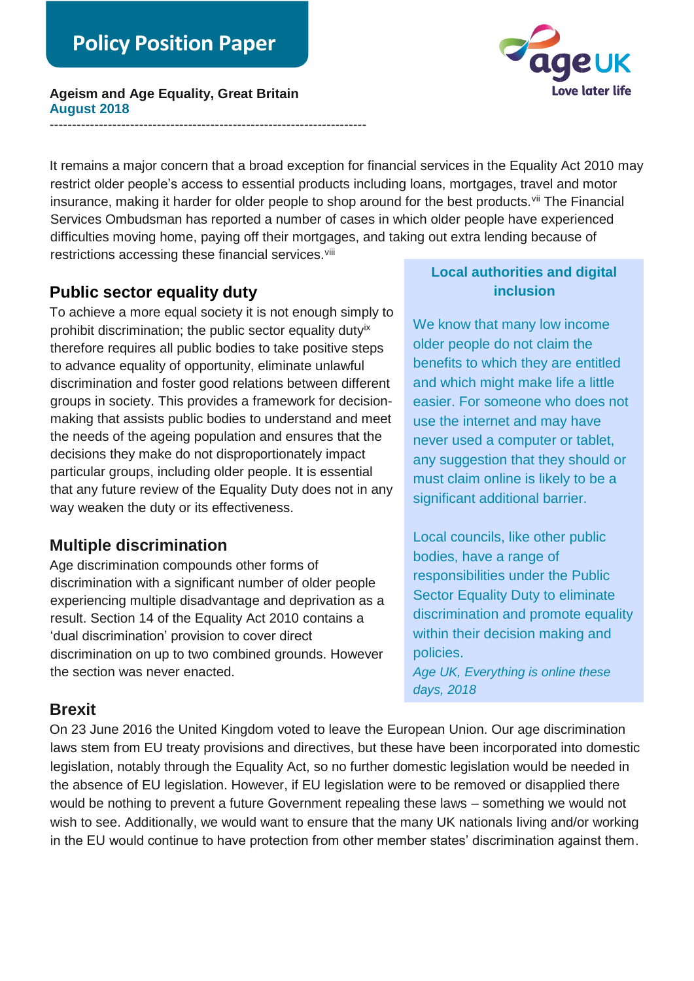**Ageism and Age Equality, Great Britain August 2018**

-----------------------------------------------------------------------



It remains a major concern that a broad exception for financial services in the Equality Act 2010 may restrict older people's access to essential products including loans, mortgages, travel and motor insurance, making it harder for older people to shop around for the best products.<sup>vii</sup> The Financial Services Ombudsman has reported a number of cases in which older people have experienced difficulties moving home, paying off their mortgages, and taking out extra lending because of restrictions accessing these financial services. Vili

#### **Public sector equality duty**

To achieve a more equal society it is not enough simply to prohibit discrimination; the public sector equality duty<sup>ix</sup> therefore requires all public bodies to take positive steps to advance equality of opportunity, eliminate unlawful discrimination and foster good relations between different groups in society. This provides a framework for decisionmaking that assists public bodies to understand and meet the needs of the ageing population and ensures that the decisions they make do not disproportionately impact particular groups, including older people. It is essential that any future review of the Equality Duty does not in any way weaken the duty or its effectiveness.

#### **Multiple discrimination**

Age discrimination compounds other forms of discrimination with a significant number of older people experiencing multiple disadvantage and deprivation as a result. Section 14 of the Equality Act 2010 contains a 'dual discrimination' provision to cover direct discrimination on up to two combined grounds. However the section was never enacted.

#### **Local authorities and digital inclusion**

We know that many low income older people do not claim the benefits to which they are entitled and which might make life a little easier. For someone who does not use the internet and may have never used a computer or tablet, any suggestion that they should or must claim online is likely to be a significant additional barrier.

Local councils, like other public bodies, have a range of responsibilities under the Public Sector Equality Duty to eliminate discrimination and promote equality within their decision making and policies. *Age UK, Everything is online these days, 2018*

#### **Brexit**

On 23 June 2016 the United Kingdom voted to leave the European Union. Our age discrimination laws stem from EU treaty provisions and directives, but these have been incorporated into domestic legislation, notably through the Equality Act, so no further domestic legislation would be needed in the absence of EU legislation. However, if EU legislation were to be removed or disapplied there would be nothing to prevent a future Government repealing these laws – something we would not wish to see. Additionally, we would want to ensure that the many UK nationals living and/or working in the EU would continue to have protection from other member states' discrimination against them.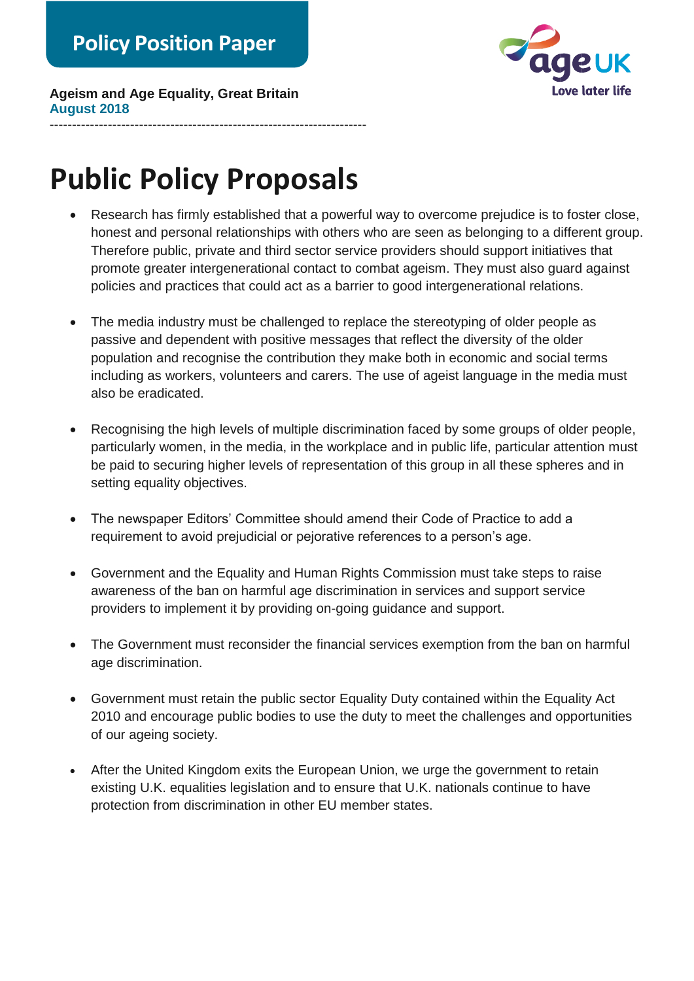

**Ageism and Age Equality, Great Britain August 2018**

## **Public Policy Proposals**

-----------------------------------------------------------------------

- Research has firmly established that a powerful way to overcome prejudice is to foster close, honest and personal relationships with others who are seen as belonging to a different group. Therefore public, private and third sector service providers should support initiatives that promote greater intergenerational contact to combat ageism. They must also guard against policies and practices that could act as a barrier to good intergenerational relations.
- The media industry must be challenged to replace the stereotyping of older people as passive and dependent with positive messages that reflect the diversity of the older population and recognise the contribution they make both in economic and social terms including as workers, volunteers and carers. The use of ageist language in the media must also be eradicated.
- Recognising the high levels of multiple discrimination faced by some groups of older people, particularly women, in the media, in the workplace and in public life, particular attention must be paid to securing higher levels of representation of this group in all these spheres and in setting equality objectives.
- The newspaper Editors' Committee should amend their Code of Practice to add a requirement to avoid prejudicial or pejorative references to a person's age.
- Government and the Equality and Human Rights Commission must take steps to raise awareness of the ban on harmful age discrimination in services and support service providers to implement it by providing on-going guidance and support.
- The Government must reconsider the financial services exemption from the ban on harmful age discrimination.
- Government must retain the public sector Equality Duty contained within the Equality Act 2010 and encourage public bodies to use the duty to meet the challenges and opportunities of our ageing society.
- After the United Kingdom exits the European Union, we urge the government to retain existing U.K. equalities legislation and to ensure that U.K. nationals continue to have protection from discrimination in other EU member states.